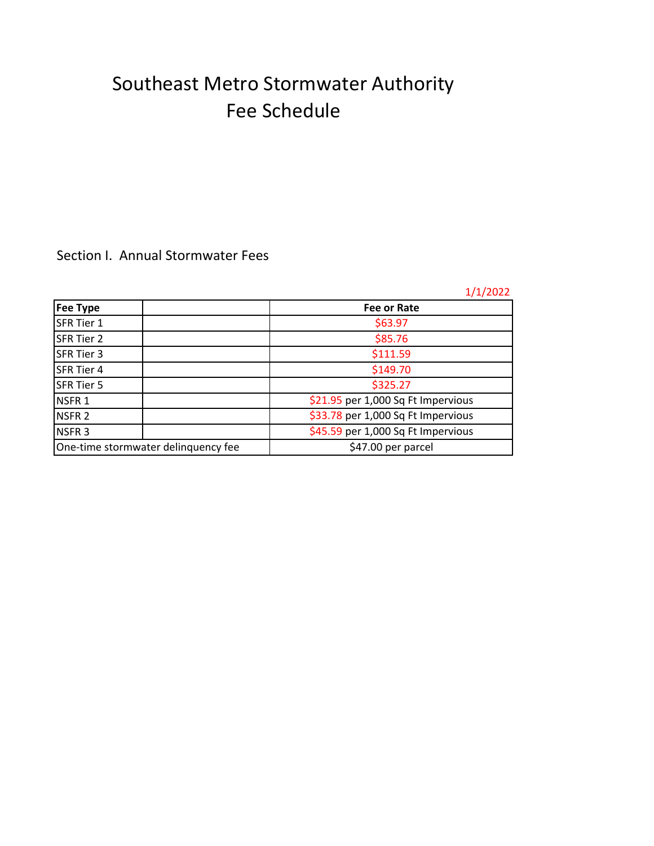## Southeast Metro Stormwater Authority Fee Schedule

## Section I. Annual Stormwater Fees

|                                     | 1/1/2022                           |
|-------------------------------------|------------------------------------|
| Fee Type                            | <b>Fee or Rate</b>                 |
| SFR Tier 1                          | \$63.97                            |
| SFR Tier 2                          | \$85.76                            |
| SFR Tier 3                          | \$111.59                           |
| SFR Tier 4                          | \$149.70                           |
| SFR Tier 5                          | \$325.27                           |
| NSFR <sub>1</sub>                   | \$21.95 per 1,000 Sq Ft Impervious |
| NSFR <sub>2</sub>                   | \$33.78 per 1,000 Sq Ft Impervious |
| NSFR <sub>3</sub>                   | \$45.59 per 1,000 Sq Ft Impervious |
| One-time stormwater delinquency fee | \$47.00 per parcel                 |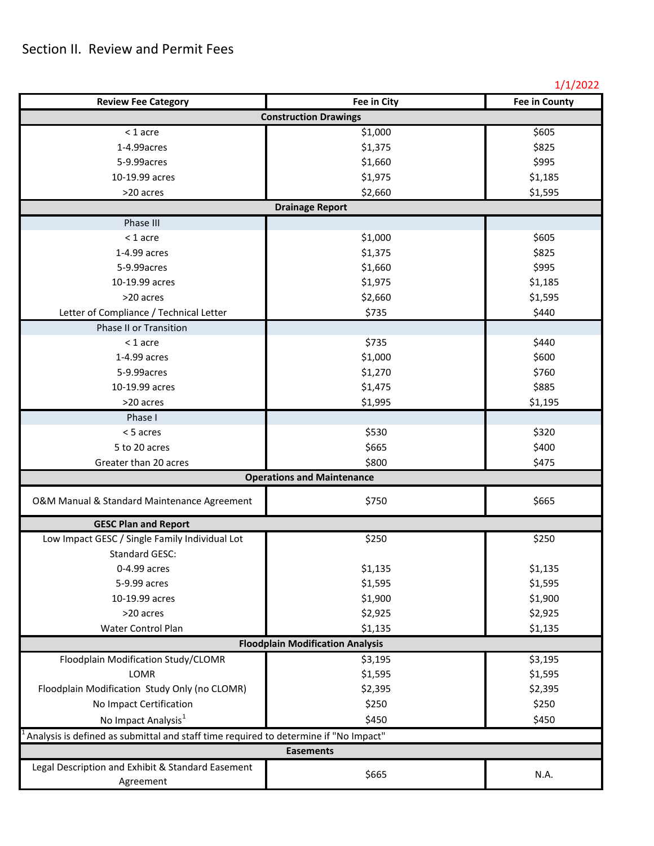## 1/1/2022

| <b>Review Fee Category</b>                                                           | Fee in City                       | <b>Fee in County</b> |  |  |
|--------------------------------------------------------------------------------------|-----------------------------------|----------------------|--|--|
| <b>Construction Drawings</b>                                                         |                                   |                      |  |  |
| $<$ 1 acre                                                                           | \$1,000                           | \$605                |  |  |
| 1-4.99 acres                                                                         | \$1,375                           | \$825                |  |  |
| 5-9.99 acres                                                                         | \$1,660                           | \$995                |  |  |
| 10-19.99 acres                                                                       | \$1,975                           | \$1,185              |  |  |
| >20 acres                                                                            | \$2,660                           | \$1,595              |  |  |
|                                                                                      | <b>Drainage Report</b>            |                      |  |  |
| Phase III                                                                            |                                   |                      |  |  |
| $<$ 1 acre                                                                           | \$1,000                           | \$605                |  |  |
| 1-4.99 acres                                                                         | \$1,375                           | \$825                |  |  |
| 5-9.99 acres                                                                         | \$1,660                           | \$995                |  |  |
| 10-19.99 acres                                                                       | \$1,975                           | \$1,185              |  |  |
| >20 acres                                                                            | \$2,660                           | \$1,595              |  |  |
| Letter of Compliance / Technical Letter                                              | \$735                             | \$440                |  |  |
| Phase II or Transition                                                               |                                   |                      |  |  |
| $<$ 1 acre                                                                           | \$735                             | \$440                |  |  |
| 1-4.99 acres                                                                         | \$1,000                           | \$600                |  |  |
| 5-9.99 acres                                                                         | \$1,270                           | \$760                |  |  |
| 10-19.99 acres                                                                       | \$1,475                           | \$885                |  |  |
| >20 acres                                                                            | \$1,995                           | \$1,195              |  |  |
| Phase I                                                                              |                                   |                      |  |  |
| < 5 acres                                                                            | \$530                             | \$320                |  |  |
| 5 to 20 acres                                                                        | \$665                             | \$400                |  |  |
| Greater than 20 acres                                                                | \$800                             | \$475                |  |  |
|                                                                                      | <b>Operations and Maintenance</b> |                      |  |  |
| O&M Manual & Standard Maintenance Agreement                                          | \$750                             | \$665                |  |  |
| <b>GESC Plan and Report</b>                                                          |                                   |                      |  |  |
| Low Impact GESC / Single Family Individual Lot                                       | \$250                             | \$250                |  |  |
| <b>Standard GESC:</b>                                                                |                                   |                      |  |  |
| 0-4.99 acres                                                                         | \$1,135                           | \$1,135              |  |  |
| 5-9.99 acres                                                                         | \$1,595                           | \$1,595              |  |  |
| 10-19.99 acres                                                                       | \$1,900                           | \$1,900              |  |  |
| >20 acres                                                                            | \$2,925                           | \$2,925              |  |  |
| Water Control Plan                                                                   | \$1,135                           | \$1,135              |  |  |
| <b>Floodplain Modification Analysis</b>                                              |                                   |                      |  |  |
| Floodplain Modification Study/CLOMR                                                  | \$3,195                           | \$3,195              |  |  |
| LOMR                                                                                 | \$1,595                           | \$1,595              |  |  |
| Floodplain Modification Study Only (no CLOMR)                                        | \$2,395                           | \$2,395              |  |  |
| No Impact Certification                                                              | \$250                             | \$250                |  |  |
| No Impact Analysis <sup>1</sup>                                                      | \$450                             | \$450                |  |  |
| Analysis is defined as submittal and staff time required to determine if "No Impact" |                                   |                      |  |  |
| <b>Easements</b>                                                                     |                                   |                      |  |  |
| Legal Description and Exhibit & Standard Easement<br>Agreement                       | \$665                             | N.A.                 |  |  |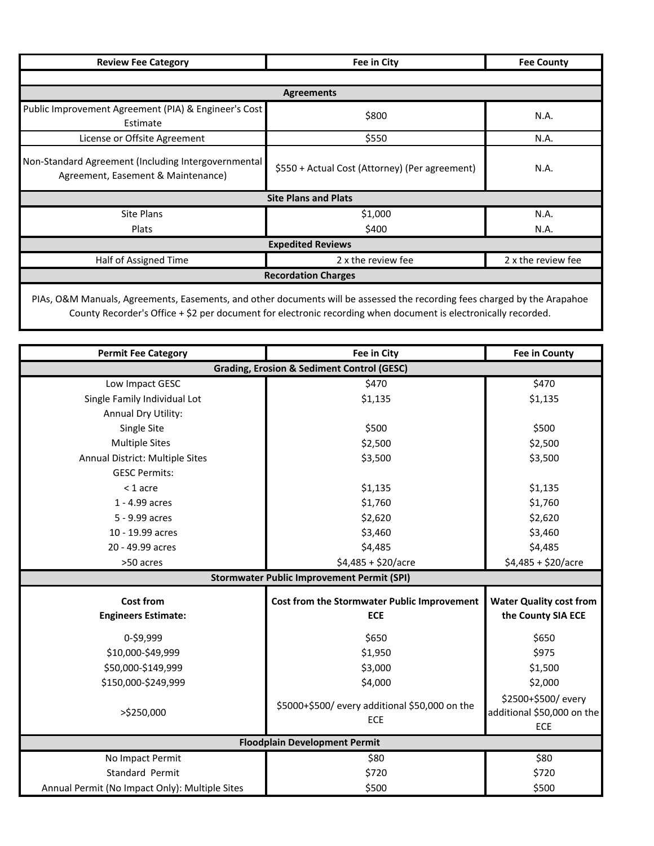| <b>Review Fee Category</b>                                                                | Fee in City                                    |                    |  |
|-------------------------------------------------------------------------------------------|------------------------------------------------|--------------------|--|
|                                                                                           |                                                |                    |  |
| <b>Agreements</b>                                                                         |                                                |                    |  |
| Public Improvement Agreement (PIA) & Engineer's Cost<br>Estimate                          | \$800                                          | N.A.               |  |
| License or Offsite Agreement                                                              | \$550                                          | N.A.               |  |
| Non-Standard Agreement (Including Intergovernmental<br>Agreement, Easement & Maintenance) | \$550 + Actual Cost (Attorney) (Per agreement) | N.A.               |  |
| <b>Site Plans and Plats</b>                                                               |                                                |                    |  |
| <b>Site Plans</b>                                                                         | \$1,000                                        | N.A.               |  |
| <b>Plats</b>                                                                              | \$400                                          | N.A.               |  |
| <b>Expedited Reviews</b>                                                                  |                                                |                    |  |
| Half of Assigned Time                                                                     | 2 x the review fee                             | 2 x the review fee |  |
| <b>Recordation Charges</b>                                                                |                                                |                    |  |
|                                                                                           |                                                |                    |  |

PIAs, O&M Manuals, Agreements, Easements, and other documents will be assessed the recording fees charged by the Arapahoe County Recorder's Office + \$2 per document for electronic recording when document is electronically recorded.

| <b>Permit Fee Category</b>                            | Fee in City                                                                   | <b>Fee in County</b>       |  |  |
|-------------------------------------------------------|-------------------------------------------------------------------------------|----------------------------|--|--|
| <b>Grading, Erosion &amp; Sediment Control (GESC)</b> |                                                                               |                            |  |  |
| Low Impact GESC                                       | \$470                                                                         | \$470                      |  |  |
| Single Family Individual Lot                          | \$1,135                                                                       | \$1,135                    |  |  |
| Annual Dry Utility:                                   |                                                                               |                            |  |  |
| Single Site                                           | \$500                                                                         | \$500                      |  |  |
| <b>Multiple Sites</b>                                 | \$2,500                                                                       | \$2,500                    |  |  |
| Annual District: Multiple Sites                       | \$3,500                                                                       | \$3,500                    |  |  |
| <b>GESC Permits:</b>                                  |                                                                               |                            |  |  |
| $<$ 1 acre                                            | \$1,135                                                                       | \$1,135                    |  |  |
| 1 - 4.99 acres                                        | \$1,760                                                                       | \$1,760                    |  |  |
| 5 - 9.99 acres                                        | \$2,620                                                                       | \$2,620                    |  |  |
| 10 - 19.99 acres                                      | \$3,460                                                                       | \$3,460                    |  |  |
| 20 - 49.99 acres                                      | \$4,485                                                                       | \$4,485                    |  |  |
| >50 acres                                             | $$4,485 + $20/$ acre                                                          | $$4,485 + $20/$ acre       |  |  |
|                                                       | <b>Stormwater Public Improvement Permit (SPI)</b>                             |                            |  |  |
| <b>Cost from</b>                                      | <b>Water Quality cost from</b><br>Cost from the Stormwater Public Improvement |                            |  |  |
| <b>Engineers Estimate:</b>                            | <b>ECE</b>                                                                    | the County SIA ECE         |  |  |
| 0-\$9,999                                             | \$650                                                                         | \$650                      |  |  |
| \$10,000-\$49,999                                     | \$1,950                                                                       | \$975                      |  |  |
| \$50,000-\$149,999                                    | \$3,000                                                                       | \$1,500                    |  |  |
| \$150,000-\$249,999                                   | \$4,000                                                                       | \$2,000                    |  |  |
|                                                       |                                                                               | \$2500+\$500/every         |  |  |
| >\$250,000                                            | \$5000+\$500/ every additional \$50,000 on the<br>ECE                         | additional \$50,000 on the |  |  |
|                                                       |                                                                               | ECE                        |  |  |
| <b>Floodplain Development Permit</b>                  |                                                                               |                            |  |  |
| No Impact Permit                                      | \$80                                                                          | \$80                       |  |  |
| Standard Permit                                       | \$720                                                                         | \$720                      |  |  |
| Annual Permit (No Impact Only): Multiple Sites        | \$500                                                                         | \$500                      |  |  |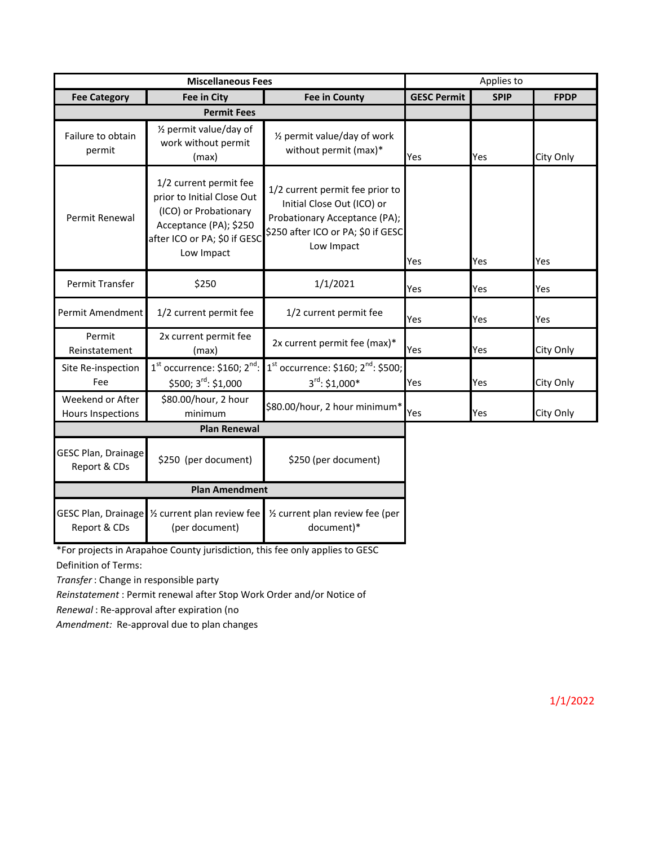| <b>Miscellaneous Fees</b>                    |                                                                                                                                                       | Applies to                                                                                                                                         |                    |             |             |
|----------------------------------------------|-------------------------------------------------------------------------------------------------------------------------------------------------------|----------------------------------------------------------------------------------------------------------------------------------------------------|--------------------|-------------|-------------|
| <b>Fee Category</b>                          | Fee in City                                                                                                                                           | <b>Fee in County</b>                                                                                                                               | <b>GESC Permit</b> | <b>SPIP</b> | <b>FPDP</b> |
| <b>Permit Fees</b>                           |                                                                                                                                                       |                                                                                                                                                    |                    |             |             |
| Failure to obtain<br>permit                  | 1/2 permit value/day of<br>work without permit<br>(max)                                                                                               | 1/2 permit value/day of work<br>without permit (max)*                                                                                              | Yes                | Yes         | City Only   |
| Permit Renewal                               | 1/2 current permit fee<br>prior to Initial Close Out<br>(ICO) or Probationary<br>Acceptance (PA); \$250<br>after ICO or PA; \$0 if GESC<br>Low Impact | 1/2 current permit fee prior to<br>Initial Close Out (ICO) or<br>Probationary Acceptance (PA);<br>\$250 after ICO or PA; \$0 if GESC<br>Low Impact | Yes                | Yes         | Yes         |
| Permit Transfer                              | \$250                                                                                                                                                 | 1/1/2021                                                                                                                                           | Yes                | Yes         | Yes         |
| Permit Amendment                             | 1/2 current permit fee                                                                                                                                | 1/2 current permit fee                                                                                                                             | Yes                | Yes         | Yes         |
| Permit<br>Reinstatement                      | 2x current permit fee<br>(max)                                                                                                                        | 2x current permit fee (max)*                                                                                                                       | Yes                | Yes         | City Only   |
| Site Re-inspection<br>Fee                    | $1st$ occurrence: \$160; $2nd$ :<br>\$500; 3rd: \$1,000                                                                                               | $1st$ occurrence: \$160; $2nd$ : \$500;<br>$3^{\text{rd}}$ : \$1,000*                                                                              | Yes                | Yes         | City Only   |
| Weekend or After<br><b>Hours Inspections</b> | \$80.00/hour, 2 hour<br>minimum                                                                                                                       | \$80.00/hour, 2 hour minimum*                                                                                                                      | Yes                | Yes         | City Only   |
| <b>Plan Renewal</b>                          |                                                                                                                                                       |                                                                                                                                                    |                    |             |             |
| <b>GESC Plan, Drainage</b><br>Report & CDs   | \$250 (per document)                                                                                                                                  | \$250 (per document)                                                                                                                               |                    |             |             |
| <b>Plan Amendment</b>                        |                                                                                                                                                       |                                                                                                                                                    |                    |             |             |
| Report & CDs                                 | GESC Plan, Drainage 1/2 current plan review fee<br>(per document)                                                                                     | 1/2 current plan review fee (per<br>document)*                                                                                                     |                    |             |             |

Definition of Terms: \*For projects in Arapahoe County jurisdiction, this fee only applies to GESC

*Transfer* : Change in responsible party

*Reinstatement* : Permit renewal after Stop Work Order and/or Notice of

*Renewal* : Re-approval after expiration (no

*Amendment:* Re-approval due to plan changes